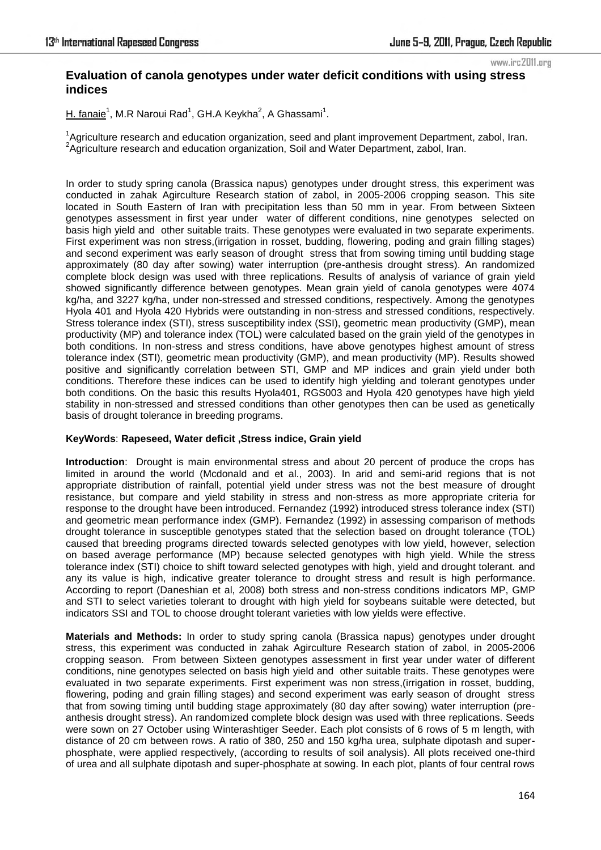www.irc2011.org

# **Evaluation of canola genotypes under water deficit conditions with using stress indices**

<u>H. fanaie</u><sup>1</sup>, M.R Naroui Rad<sup>1</sup>, GH.A Keykha<sup>2</sup>, A Ghassami<sup>1</sup>.

<sup>1</sup>Agriculture research and education organization, seed and plant improvement Department, zabol, Iran. <sup>2</sup>Agriculture research and education organization, Soil and Water Department, zabol, Iran.

In order to study spring canola (Brassica napus) genotypes under drought stress, this experiment was conducted in zahak Agirculture Research station of zabol, in 2005-2006 cropping season. This site located in South Eastern of Iran with precipitation less than 50 mm in year. From between Sixteen genotypes assessment in first year under water of different conditions, nine genotypes selected on basis high yield and other suitable traits. These genotypes were evaluated in two separate experiments. First experiment was non stress,(irrigation in rosset, budding, flowering, poding and grain filling stages) and second experiment was early season of drought stress that from sowing timing until budding stage approximately (80 day after sowing) water interruption (pre-anthesis drought stress). An randomized complete block design was used with three replications. Results of analysis of variance of grain yield showed significantly difference between genotypes. Mean grain yield of canola genotypes were 4074 kg/ha, and 3227 kg/ha, under non-stressed and stressed conditions, respectively. Among the genotypes Hyola 401 and Hyola 420 Hybrids were outstanding in non-stress and stressed conditions, respectively. Stress tolerance index (STI), stress susceptibility index (SSI), geometric mean productivity (GMP), mean productivity (MP) and tolerance index (TOL) were calculated based on the grain yield of the genotypes in both conditions. In non-stress and stress conditions, have above genotypes highest amount of stress tolerance index (STI), geometric mean productivity (GMP), and mean productivity (MP). Results showed positive and significantly correlation between STI, GMP and MP indices and grain yield under both conditions. Therefore these indices can be used to identify high yielding and tolerant genotypes under both conditions. On the basic this results Hyola401, RGS003 and Hyola 420 genotypes have high yield stability in non-stressed and stressed conditions than other genotypes then can be used as genetically basis of drought tolerance in breeding programs.

# **KeyWords**: **Rapeseed, Water deficit ,Stress indice, Grain yield**

**Introduction**: Drought is main environmental stress and about 20 percent of produce the crops has limited in around the world (Mcdonald and et al., 2003). In arid and semi-arid regions that is not appropriate distribution of rainfall, potential yield under stress was not the best measure of drought resistance, but compare and yield stability in stress and non-stress as more appropriate criteria for response to the drought have been introduced. Fernandez (1992) introduced stress tolerance index (STI) and geometric mean performance index (GMP). Fernandez (1992) in assessing comparison of methods drought tolerance in susceptible genotypes stated that the selection based on drought tolerance (TOL) caused that breeding programs directed towards selected genotypes with low yield, however, selection on based average performance (MP) because selected genotypes with high yield. While the stress tolerance index (STI) choice to shift toward selected genotypes with high, yield and drought tolerant. and any its value is high, indicative greater tolerance to drought stress and result is high performance. According to report (Daneshian et al, 2008) both stress and non-stress conditions indicators MP, GMP and STI to select varieties tolerant to drought with high yield for soybeans suitable were detected, but indicators SSI and TOL to choose drought tolerant varieties with low yields were effective.

**Materials and Methods:** In order to study spring canola (Brassica napus) genotypes under drought stress, this experiment was conducted in zahak Agirculture Research station of zabol, in 2005-2006 cropping season. From between Sixteen genotypes assessment in first year under water of different conditions, nine genotypes selected on basis high yield and other suitable traits. These genotypes were evaluated in two separate experiments. First experiment was non stress,(irrigation in rosset, budding, flowering, poding and grain filling stages) and second experiment was early season of drought stress that from sowing timing until budding stage approximately (80 day after sowing) water interruption (preanthesis drought stress). An randomized complete block design was used with three replications. Seeds were sown on 27 October using Winterashtiger Seeder. Each plot consists of 6 rows of 5 m length, with distance of 20 cm between rows. A ratio of 380, 250 and 150 kg/ha urea, sulphate dipotash and superphosphate, were applied respectively, (according to results of soil analysis). All plots received one-third of urea and all sulphate dipotash and super-phosphate at sowing. In each plot, plants of four central rows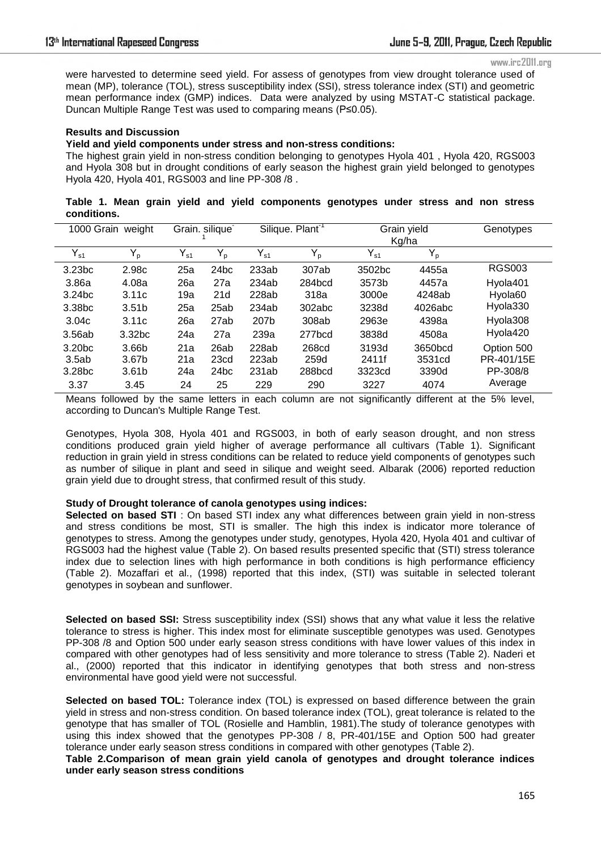www.irc2011.org

were harvested to determine seed yield. For assess of genotypes from view drought tolerance used of mean (MP), tolerance (TOL), stress susceptibility index (SSI), stress tolerance index (STI) and geometric mean performance index (GMP) indices. Data were analyzed by using MSTAT-C statistical package. Duncan Multiple Range Test was used to comparing means (P≤0.05).

### **Results and Discussion**

### **Yield and yield components under stress and non-stress conditions:**

The highest grain yield in non-stress condition belonging to genotypes Hyola 401 , Hyola 420, RGS003 and Hyola 308 but in drought conditions of early season the highest grain yield belonged to genotypes Hyola 420, Hyola 401, RGS003 and line PP-308 /8 .

**Table 1. Mean grain yield and yield components genotypes under stress and non stress conditions.**

| 1000 Grain weight  |                   | Grain. silique <sup>-</sup> |                  | Silique. Plant <sup>-1</sup> |        | Grain yield |         | Genotypes     |
|--------------------|-------------------|-----------------------------|------------------|------------------------------|--------|-------------|---------|---------------|
|                    |                   |                             |                  |                              |        | Kg/ha       |         |               |
| $Y_{s1}$           | $Y_p$             | $Y_{s1}$                    | $Y_p$            | $Y_{s1}$                     | $Y_p$  | $Y_{s1}$    | $Y_p$   |               |
| 3.23 <sub>bc</sub> | 2.98c             | 25a                         | 24 <sub>bc</sub> | 233ab                        | 307ab  | 3502bc      | 4455a   | <b>RGS003</b> |
| 3.86a              | 4.08a             | 26a                         | 27a              | 234ab                        | 284bcd | 3573b       | 4457a   | Hyola401      |
| 3.24 <sub>bc</sub> | 3.11c             | 19a                         | 21d              | 228ab                        | 318a   | 3000e       | 4248ab  | Hyola60       |
| 3.38 <sub>bc</sub> | 3.51 <sub>b</sub> | 25a                         | 25ab             | 234ab                        | 302abc | 3238d       | 4026abc | Hyola330      |
| 3.04 <sub>c</sub>  | 3.11c             | 26a                         | 27ab             | 207b                         | 308ab  | 2963e       | 4398a   | Hyola308      |
| 3.56ab             | 3.32bc            | 24a                         | 27a              | 239a                         | 277bcd | 3838d       | 4508a   | Hyola420      |
| 3.20 <sub>bc</sub> | 3.66 <sub>b</sub> | 21a                         | 26ab             | 228ab                        | 268cd  | 3193d       | 3650bcd | Option 500    |
| 3.5ab              | 3.67 <sub>b</sub> | 21a                         | 23cd             | 223ab                        | 259d   | 2411f       | 3531cd  | PR-401/15E    |
| 3.28 <sub>bc</sub> | 3.61 <sub>b</sub> | 24a                         | 24 <sub>bc</sub> | 231ab                        | 288bcd | 3323cd      | 3390d   | PP-308/8      |
| 3.37               | 3.45              | 24                          | 25               | 229                          | 290    | 3227        | 4074    | Average       |

Means followed by the same letters in each column are not significantly different at the 5% level, according to Duncan's Multiple Range Test.

Genotypes, Hyola 308, Hyola 401 and RGS003, in both of early season drought, and non stress conditions produced grain yield higher of average performance all cultivars (Table 1). Significant reduction in grain yield in stress conditions can be related to reduce yield components of genotypes such as number of silique in plant and seed in silique and weight seed. Albarak (2006) reported reduction grain yield due to drought stress, that confirmed result of this study.

## **Study of Drought tolerance of canola genotypes using indices:**

**Selected on based STI** : On based STI index any what differences between grain yield in non-stress and stress conditions be most, STI is smaller. The high this index is indicator more tolerance of genotypes to stress. Among the genotypes under study, genotypes, Hyola 420, Hyola 401 and cultivar of RGS003 had the highest value (Table 2). On based results presented specific that (STI) stress tolerance index due to selection lines with high performance in both conditions is high performance efficiency (Table 2). Mozaffari et al., (1998) reported that this index, (STI) was suitable in selected tolerant genotypes in soybean and sunflower.

**Selected on based SSI:** Stress susceptibility index (SSI) shows that any what value it less the relative tolerance to stress is higher. This index most for eliminate susceptible genotypes was used. Genotypes PP-308 /8 and Option 500 under early season stress conditions with have lower values of this index in compared with other genotypes had of less sensitivity and more tolerance to stress (Table 2). Naderi et al., (2000) reported that this indicator in identifying genotypes that both stress and non-stress environmental have good yield were not successful.

**Selected on based TOL:** Tolerance index (TOL) is expressed on based difference between the grain yield in stress and non-stress condition. On based tolerance index (TOL), great tolerance is related to the genotype that has smaller of TOL (Rosielle and Hamblin, 1981).The study of tolerance genotypes with using this index showed that the genotypes PP-308 / 8, PR-401/15E and Option 500 had greater tolerance under early season stress conditions in compared with other genotypes (Table 2).

**Table 2.Comparison of mean grain yield canola of genotypes and drought tolerance indices under early season stress conditions**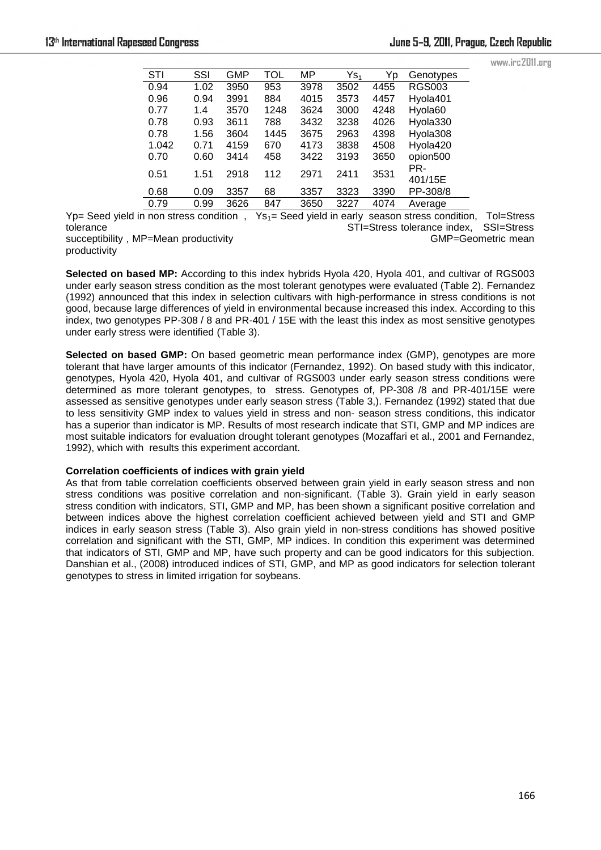www.irc2011.org

| STI   | SSI  | GMP  | TOL  | MP   | $\mathsf{Y}_{\mathsf{S}_1}$ | Yp   | Genotypes      |
|-------|------|------|------|------|-----------------------------|------|----------------|
| 0.94  | 1.02 | 3950 | 953  | 3978 | 3502                        | 4455 | <b>RGS003</b>  |
| 0.96  | 0.94 | 3991 | 884  | 4015 | 3573                        | 4457 | Hyola401       |
| 0.77  | 1.4  | 3570 | 1248 | 3624 | 3000                        | 4248 | Hyola60        |
| 0.78  | 0.93 | 3611 | 788  | 3432 | 3238                        | 4026 | Hyola330       |
| 0.78  | 1.56 | 3604 | 1445 | 3675 | 2963                        | 4398 | Hyola308       |
| 1.042 | 0.71 | 4159 | 670  | 4173 | 3838                        | 4508 | Hyola420       |
| 0.70  | 0.60 | 3414 | 458  | 3422 | 3193                        | 3650 | opion500       |
| 0.51  | 1.51 | 2918 | 112  | 2971 | 2411                        | 3531 | PR-<br>401/15E |
| 0.68  | 0.09 | 3357 | 68   | 3357 | 3323                        | 3390 | PP-308/8       |
| 0.79  | 0.99 | 3626 | 847  | 3650 | 3227                        | 4074 | Average        |
|       |      |      |      |      |                             |      |                |

 $Yp=$  Seed yield in non stress condition ,  $Ys_1=$  Seed yield in early season stress condition, Tol=Stress tolerance index. SSI=Stress STI=Stress tolerance index, SSI=Stress<br>GMP=Geometric mean succeptibility, MP=Mean productivity productivity

**Selected on based MP:** According to this index hybrids Hyola 420, Hyola 401, and cultivar of RGS003 under early season stress condition as the most tolerant genotypes were evaluated (Table 2). Fernandez (1992) announced that this index in selection cultivars with high-performance in stress conditions is not good, because large differences of yield in environmental because increased this index. According to this index, two genotypes PP-308 / 8 and PR-401 / 15E with the least this index as most sensitive genotypes under early stress were identified (Table 3).

**Selected on based GMP:** On based geometric mean performance index (GMP), genotypes are more tolerant that have larger amounts of this indicator (Fernandez, 1992). On based study with this indicator, genotypes, Hyola 420, Hyola 401, and cultivar of RGS003 under early season stress conditions were determined as more tolerant genotypes, to stress. Genotypes of, PP-308 /8 and PR-401/15E were assessed as sensitive genotypes under early season stress (Table 3,). Fernandez (1992) stated that due to less sensitivity GMP index to values yield in stress and non- season stress conditions, this indicator has a superior than indicator is MP. Results of most research indicate that STI, GMP and MP indices are most suitable indicators for evaluation drought tolerant genotypes (Mozaffari et al., 2001 and Fernandez, 1992), which with results this experiment accordant.

# **Correlation coefficients of indices with grain yield**

As that from table correlation coefficients observed between grain yield in early season stress and non stress conditions was positive correlation and non-significant. (Table 3). Grain yield in early season stress condition with indicators, STI, GMP and MP, has been shown a significant positive correlation and between indices above the highest correlation coefficient achieved between yield and STI and GMP indices in early season stress (Table 3). Also grain yield in non-stress conditions has showed positive correlation and significant with the STI, GMP, MP indices. In condition this experiment was determined that indicators of STI, GMP and MP, have such property and can be good indicators for this subjection. Danshian et al., (2008) introduced indices of STI, GMP, and MP as good indicators for selection tolerant genotypes to stress in limited irrigation for soybeans.